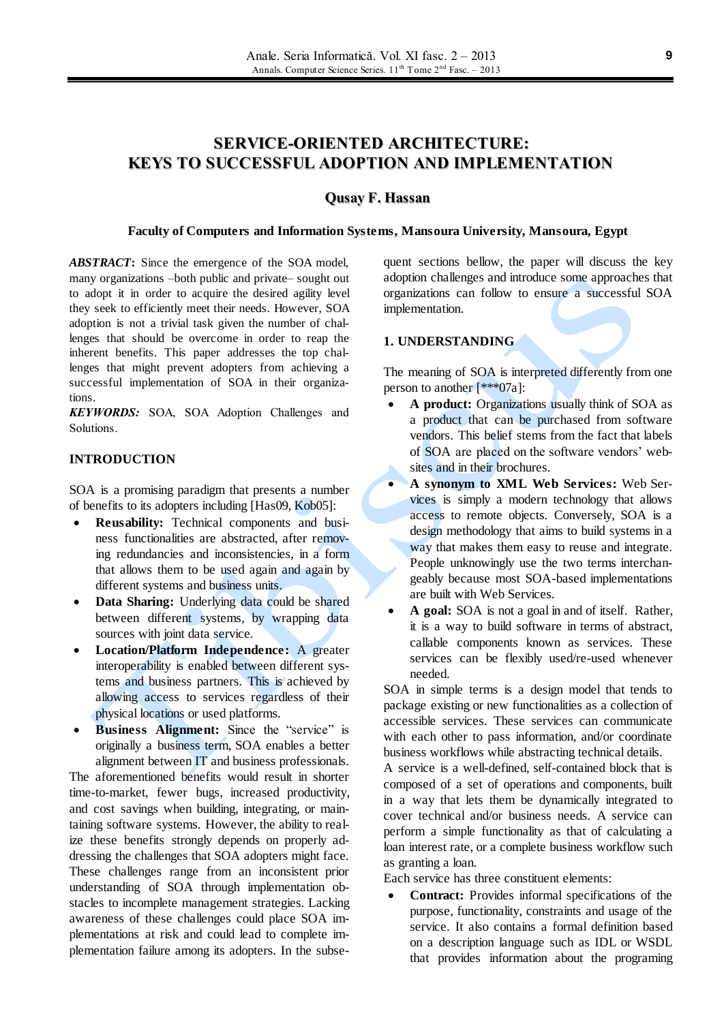# **SERVICE-ORIENTED ARCHITECTURE: KEYS TO SUCCESSFUL ADOPTION AND IMPLEMENTATION**

## **Qusay F. Hassan**

#### **Faculty of Computers and Information Systems, Mansoura University, Mansoura, Egypt**

*ABSTRACT***:** Since the emergence of the SOA model, many organizations –both public and private– sought out to adopt it in order to acquire the desired agility level they seek to efficiently meet their needs. However, SOA adoption is not a trivial task given the number of challenges that should be overcome in order to reap the inherent benefits. This paper addresses the top challenges that might prevent adopters from achieving a successful implementation of SOA in their organizations.

*KEYWORDS:* SOA, SOA Adoption Challenges and Solutions.

## **INTRODUCTION**

SOA is a promising paradigm that presents a number of benefits to its adopters including [Has09, Kob05]:

- **Reusability:** Technical components and business functionalities are abstracted, after removing redundancies and inconsistencies, in a form that allows them to be used again and again by different systems and business units.
- **Data Sharing:** Underlying data could be shared between different systems, by wrapping data sources with joint data service.
- **Location/Platform Independence:** A greater interoperability is enabled between different systems and business partners. This is achieved by allowing access to services regardless of their physical locations or used platforms.
- **Business Alignment:** Since the "service" is originally a business term, SOA enables a better alignment between IT and business professionals. The aforementioned benefits would result in shorter time-to-market, fewer bugs, increased productivity, and cost savings when building, integrating, or maintaining software systems. However, the ability to realize these benefits strongly depends on properly addressing the challenges that SOA adopters might face. These challenges range from an inconsistent prior understanding of SOA through implementation obstacles to incomplete management strategies. Lacking awareness of these challenges could place SOA implementations at risk and could lead to complete implementation failure among its adopters. In the subse-

quent sections bellow, the paper will discuss the key adoption challenges and introduce some approaches that organizations can follow to ensure a successful SOA implementation.

## **1. UNDERSTANDING**

The meaning of SOA is interpreted differently from one person to another [\*\*\*07a]:

- **A product:** Organizations usually think of SOA as a product that can be purchased from software vendors. This belief stems from the fact that labels of SOA are placed on the software vendors' websites and in their brochures.
- **A synonym to XML Web Services:** Web Services is simply a modern technology that allows access to remote objects. Conversely, SOA is a design methodology that aims to build systems in a way that makes them easy to reuse and integrate. People unknowingly use the two terms interchangeably because most SOA-based implementations are built with Web Services.
- **A goal:** SOA is not a goal in and of itself. Rather, it is a way to build software in terms of abstract, callable components known as services. These services can be flexibly used/re-used whenever needed.

SOA in simple terms is a design model that tends to package existing or new functionalities as a collection of accessible services. These services can communicate with each other to pass information, and/or coordinate business workflows while abstracting technical details.

A service is a well-defined, self-contained block that is composed of a set of operations and components, built in a way that lets them be dynamically integrated to cover technical and/or business needs. A service can perform a simple functionality as that of calculating a loan interest rate, or a complete business workflow such as granting a loan.

Each service has three constituent elements:

 **Contract:** Provides informal specifications of the purpose, functionality, constraints and usage of the service. It also contains a formal definition based on a description language such as IDL or WSDL that provides information about the programing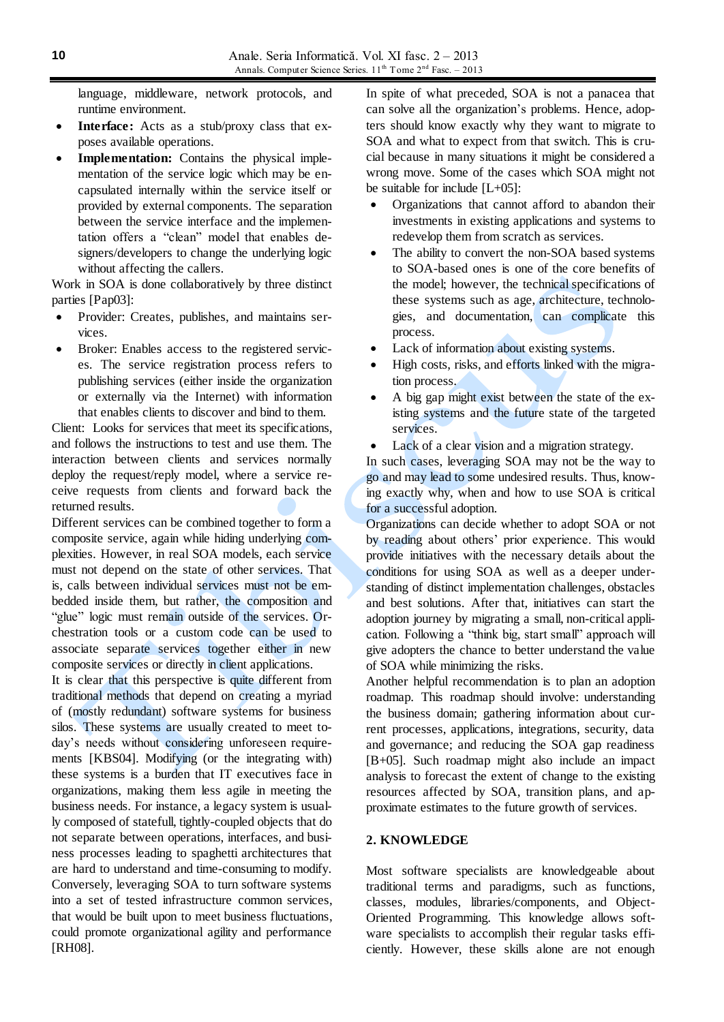language, middleware, network protocols, and runtime environment.

- **Interface:** Acts as a stub/proxy class that exposes available operations.
- **Implementation:** Contains the physical implementation of the service logic which may be encapsulated internally within the service itself or provided by external components. The separation between the service interface and the implementation offers a "clean" model that enables designers/developers to change the underlying logic without affecting the callers.

Work in SOA is done collaboratively by three distinct parties [Pap03]:

- Provider: Creates, publishes, and maintains services.
- Broker: Enables access to the registered services. The service registration process refers to publishing services (either inside the organization or externally via the Internet) with information that enables clients to discover and bind to them.

Client: Looks for services that meet its specifications, and follows the instructions to test and use them. The interaction between clients and services normally deploy the request/reply model, where a service receive requests from clients and forward back the returned results.

Different services can be combined together to form a composite service, again while hiding underlying complexities. However, in real SOA models, each service must not depend on the state of other services. That is, calls between individual services must not be embedded inside them, but rather, the composition and "glue" logic must remain outside of the services. Orchestration tools or a custom code can be used to associate separate services together either in new composite services or directly in client applications.

It is clear that this perspective is quite different from traditional methods that depend on creating a myriad of (mostly redundant) software systems for business silos. These systems are usually created to meet today's needs without considering unforeseen requirements [KBS04]. Modifying (or the integrating with) these systems is a burden that IT executives face in organizations, making them less agile in meeting the business needs. For instance, a legacy system is usually composed of statefull, tightly-coupled objects that do not separate between operations, interfaces, and business processes leading to spaghetti architectures that are hard to understand and time-consuming to modify. Conversely, leveraging SOA to turn software systems into a set of tested infrastructure common services, that would be built upon to meet business fluctuations, could promote organizational agility and performance [RH08].

In spite of what preceded, SOA is not a panacea that can solve all the organization's problems. Hence, adopters should know exactly why they want to migrate to SOA and what to expect from that switch. This is crucial because in many situations it might be considered a wrong move. Some of the cases which SOA might not be suitable for include [L+05]:

- Organizations that cannot afford to abandon their investments in existing applications and systems to redevelop them from scratch as services.
- The ability to convert the non-SOA based systems to SOA-based ones is one of the core benefits of the model; however, the technical specifications of these systems such as age, architecture, technologies, and documentation, can complicate this process.
- Lack of information about existing systems.
- High costs, risks, and efforts linked with the migration process.
- A big gap might exist between the state of the existing systems and the future state of the targeted services.
- Lack of a clear vision and a migration strategy.

In such cases, leveraging SOA may not be the way to go and may lead to some undesired results. Thus, knowing exactly why, when and how to use SOA is critical for a successful adoption.

Organizations can decide whether to adopt SOA or not by reading about others' prior experience. This would provide initiatives with the necessary details about the conditions for using SOA as well as a deeper understanding of distinct implementation challenges, obstacles and best solutions. After that, initiatives can start the adoption journey by migrating a small, non-critical application. Following a "think big, start small" approach will give adopters the chance to better understand the value of SOA while minimizing the risks.

Another helpful recommendation is to plan an adoption roadmap. This roadmap should involve: understanding the business domain; gathering information about current processes, applications, integrations, security, data and governance; and reducing the SOA gap readiness [B+05]. Such roadmap might also include an impact analysis to forecast the extent of change to the existing resources affected by SOA, transition plans, and approximate estimates to the future growth of services.

## **2. KNOWLEDGE**

Most software specialists are knowledgeable about traditional terms and paradigms, such as functions, classes, modules, libraries/components, and Object-Oriented Programming. This knowledge allows software specialists to accomplish their regular tasks efficiently. However, these skills alone are not enough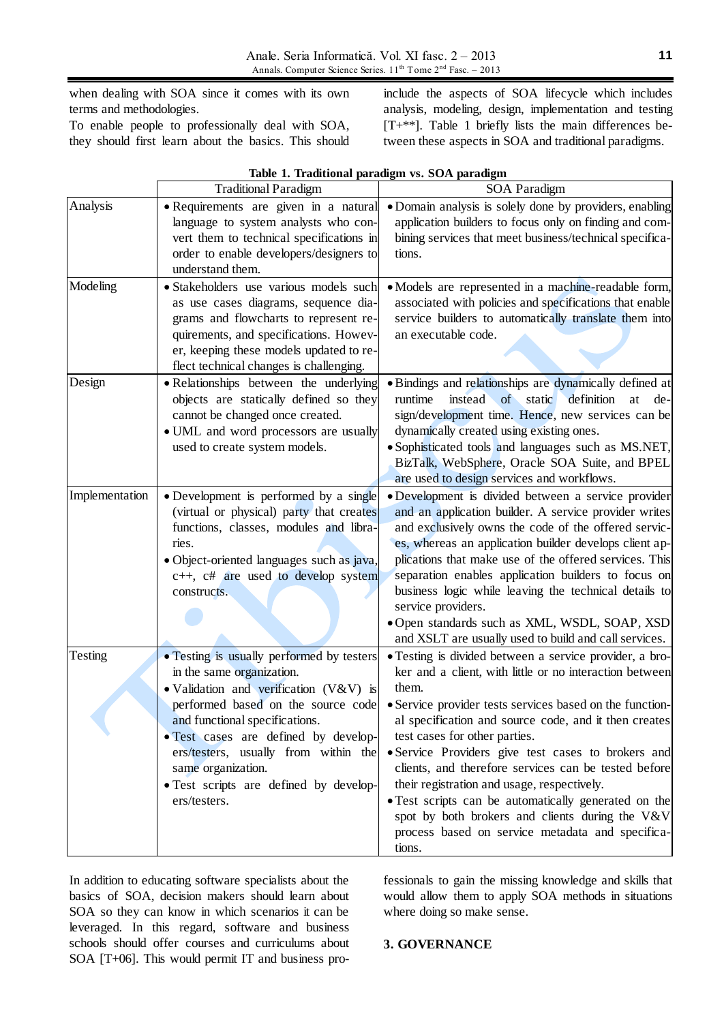when dealing with SOA since it comes with its own terms and methodologies.

To enable people to professionally deal with SOA, they should first learn about the basics. This should

include the aspects of SOA lifecycle which includes analysis, modeling, design, implementation and testing [T+\*\*]. Table 1 briefly lists the main differences between these aspects in SOA and traditional paradigms.

|                | Table 1. Traditional paradigm vs. SOA paradigm                                                                                                                                                                                                                                                                                                           |                                                                                                                                                                                                                                                                                                                                                                                                                                                                                                                                                                                                                         |
|----------------|----------------------------------------------------------------------------------------------------------------------------------------------------------------------------------------------------------------------------------------------------------------------------------------------------------------------------------------------------------|-------------------------------------------------------------------------------------------------------------------------------------------------------------------------------------------------------------------------------------------------------------------------------------------------------------------------------------------------------------------------------------------------------------------------------------------------------------------------------------------------------------------------------------------------------------------------------------------------------------------------|
|                | <b>Traditional Paradigm</b>                                                                                                                                                                                                                                                                                                                              | SOA Paradigm                                                                                                                                                                                                                                                                                                                                                                                                                                                                                                                                                                                                            |
| Analysis       | • Requirements are given in a natural<br>language to system analysts who con-<br>vert them to technical specifications in<br>order to enable developers/designers to<br>understand them.                                                                                                                                                                 | • Domain analysis is solely done by providers, enabling<br>application builders to focus only on finding and com-<br>bining services that meet business/technical specifica-<br>tions.                                                                                                                                                                                                                                                                                                                                                                                                                                  |
| Modeling       | · Stakeholders use various models such<br>as use cases diagrams, sequence dia-<br>grams and flowcharts to represent re-<br>quirements, and specifications. Howev-<br>er, keeping these models updated to re-<br>flect technical changes is challenging.                                                                                                  | · Models are represented in a machine-readable form,<br>associated with policies and specifications that enable<br>service builders to automatically translate them into<br>an executable code.                                                                                                                                                                                                                                                                                                                                                                                                                         |
| Design         | • Relationships between the underlying<br>objects are statically defined so they<br>cannot be changed once created.<br>• UML and word processors are usually<br>used to create system models.                                                                                                                                                            | • Bindings and relationships are dynamically defined at<br>instead of static<br>definition<br>runtime<br>at<br>de-<br>sign/development time. Hence, new services can be<br>dynamically created using existing ones.<br>· Sophisticated tools and languages such as MS.NET,<br>BizTalk, WebSphere, Oracle SOA Suite, and BPEL<br>are used to design services and workflows.                                                                                                                                                                                                                                              |
| Implementation | • Development is performed by a single<br>(virtual or physical) party that creates<br>functions, classes, modules and libra-<br>ries.<br>· Object-oriented languages such as java,<br>c++, c# are used to develop system<br>constructs.                                                                                                                  | · Development is divided between a service provider<br>and an application builder. A service provider writes<br>and exclusively owns the code of the offered servic-<br>es, whereas an application builder develops client ap-<br>plications that make use of the offered services. This<br>separation enables application builders to focus on<br>business logic while leaving the technical details to<br>service providers.<br>· Open standards such as XML, WSDL, SOAP, XSD<br>and XSLT are usually used to build and call services.                                                                                |
| Testing        | • Testing is usually performed by testers<br>in the same organization.<br>• Validation and verification (V&V) is<br>performed based on the source code<br>and functional specifications.<br>• Test cases are defined by develop-<br>ers/testers, usually from within the<br>same organization.<br>• Test scripts are defined by develop-<br>ers/testers. | • Testing is divided between a service provider, a bro-<br>ker and a client, with little or no interaction between<br>them.<br>• Service provider tests services based on the function-<br>al specification and source code, and it then creates<br>test cases for other parties.<br>• Service Providers give test cases to brokers and<br>clients, and therefore services can be tested before<br>their registration and usage, respectively.<br>• Test scripts can be automatically generated on the<br>spot by both brokers and clients during the V&V<br>process based on service metadata and specifica-<br>tions. |

**Table 1. Traditional paradigm vs. SOA paradigm**

In addition to educating software specialists about the basics of SOA, decision makers should learn about SOA so they can know in which scenarios it can be leveraged. In this regard, software and business schools should offer courses and curriculums about SOA [T+06]. This would permit IT and business professionals to gain the missing knowledge and skills that would allow them to apply SOA methods in situations where doing so make sense.

## **3. GOVERNANCE**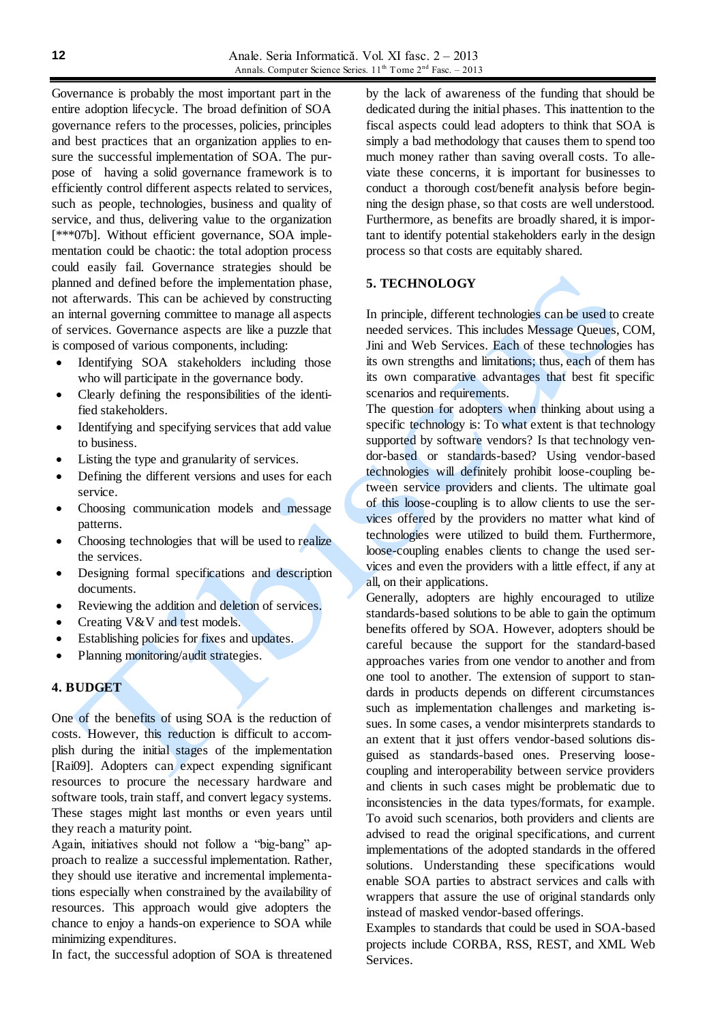Governance is probably the most important part in the entire adoption lifecycle. The broad definition of SOA governance refers to the processes, policies, principles and best practices that an organization applies to ensure the successful implementation of SOA. The purpose of having a solid governance framework is to efficiently control different aspects related to services, such as people, technologies, business and quality of service, and thus, delivering value to the organization [\*\*\*07b]. Without efficient governance, SOA implementation could be chaotic: the total adoption process could easily fail. Governance strategies should be planned and defined before the implementation phase, not afterwards. This can be achieved by constructing an internal governing committee to manage all aspects of services. Governance aspects are like a puzzle that is composed of various components, including:

- Identifying SOA stakeholders including those who will participate in the governance body.
- Clearly defining the responsibilities of the identified stakeholders.
- Identifying and specifying services that add value to business.
- Listing the type and granularity of services.
- Defining the different versions and uses for each service.
- Choosing communication models and message patterns.
- Choosing technologies that will be used to realize the services.
- Designing formal specifications and description documents.
- Reviewing the addition and deletion of services.
- Creating V&V and test models.
- Establishing policies for fixes and updates.
- Planning monitoring/audit strategies.

#### **4. BUDGET**

One of the benefits of using SOA is the reduction of costs. However, this reduction is difficult to accomplish during the initial stages of the implementation [Rai09]. Adopters can expect expending significant resources to procure the necessary hardware and software tools, train staff, and convert legacy systems. These stages might last months or even years until they reach a maturity point.

Again, initiatives should not follow a "big-bang" approach to realize a successful implementation. Rather, they should use iterative and incremental implementations especially when constrained by the availability of resources. This approach would give adopters the chance to enjoy a hands-on experience to SOA while minimizing expenditures.

In fact, the successful adoption of SOA is threatened

by the lack of awareness of the funding that should be dedicated during the initial phases. This inattention to the fiscal aspects could lead adopters to think that SOA is simply a bad methodology that causes them to spend too much money rather than saving overall costs. To alleviate these concerns, it is important for businesses to conduct a thorough cost/benefit analysis before beginning the design phase, so that costs are well understood. Furthermore, as benefits are broadly shared, it is important to identify potential stakeholders early in the design process so that costs are equitably shared.

## **5. TECHNOLOGY**

In principle, different technologies can be used to create needed services. This includes Message Queues, COM, Jini and Web Services. Each of these technologies has its own strengths and limitations; thus, each of them has its own comparative advantages that best fit specific scenarios and requirements.

The question for adopters when thinking about using a specific technology is: To what extent is that technology supported by software vendors? Is that technology vendor-based or standards-based? Using vendor-based technologies will definitely prohibit loose-coupling between service providers and clients. The ultimate goal of this loose-coupling is to allow clients to use the services offered by the providers no matter what kind of technologies were utilized to build them. Furthermore, loose-coupling enables clients to change the used services and even the providers with a little effect, if any at all, on their applications.

Generally, adopters are highly encouraged to utilize standards-based solutions to be able to gain the optimum benefits offered by SOA. However, adopters should be careful because the support for the standard-based approaches varies from one vendor to another and from one tool to another. The extension of support to standards in products depends on different circumstances such as implementation challenges and marketing issues. In some cases, a vendor misinterprets standards to an extent that it just offers vendor-based solutions disguised as standards-based ones. Preserving loosecoupling and interoperability between service providers and clients in such cases might be problematic due to inconsistencies in the data types/formats, for example. To avoid such scenarios, both providers and clients are advised to read the original specifications, and current implementations of the adopted standards in the offered solutions. Understanding these specifications would enable SOA parties to abstract services and calls with wrappers that assure the use of original standards only instead of masked vendor-based offerings.

Examples to standards that could be used in SOA-based projects include CORBA, RSS, REST, and XML Web Services.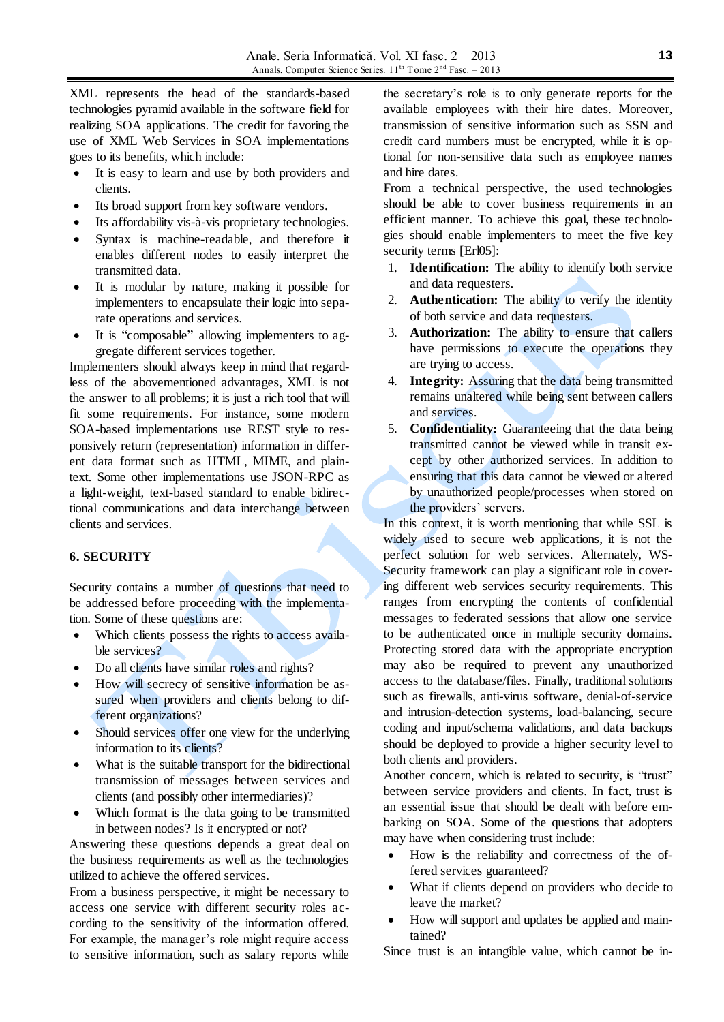XML represents the head of the standards-based technologies pyramid available in the software field for realizing SOA applications. The credit for favoring the use of XML Web Services in SOA implementations goes to its benefits, which include:

- It is easy to learn and use by both providers and clients.
- Its broad support from key software vendors.
- Its affordability vis-à-vis proprietary technologies.
- Syntax is machine-readable, and therefore it enables different nodes to easily interpret the transmitted data.
- It is modular by nature, making it possible for implementers to encapsulate their logic into separate operations and services.
- It is "composable" allowing implementers to aggregate different services together.

Implementers should always keep in mind that regardless of the abovementioned advantages, XML is not the answer to all problems; it is just a rich tool that will fit some requirements. For instance, some modern SOA-based implementations use REST style to responsively return (representation) information in different data format such as HTML, MIME, and plaintext. Some other implementations use JSON-RPC as a light-weight, text-based standard to enable bidirectional communications and data interchange between clients and services.

### **6. SECURITY**

Security contains a number of questions that need to be addressed before proceeding with the implementation. Some of these questions are:

- Which clients possess the rights to access available services?
- Do all clients have similar roles and rights?
- How will secrecy of sensitive information be assured when providers and clients belong to different organizations?
- Should services offer one view for the underlying information to its clients?
- What is the suitable transport for the bidirectional transmission of messages between services and clients (and possibly other intermediaries)?
- Which format is the data going to be transmitted in between nodes? Is it encrypted or not?

Answering these questions depends a great deal on the business requirements as well as the technologies utilized to achieve the offered services.

From a business perspective, it might be necessary to access one service with different security roles according to the sensitivity of the information offered. For example, the manager's role might require access to sensitive information, such as salary reports while

the secretary's role is to only generate reports for the available employees with their hire dates. Moreover, transmission of sensitive information such as SSN and credit card numbers must be encrypted, while it is optional for non-sensitive data such as employee names and hire dates.

From a technical perspective, the used technologies should be able to cover business requirements in an efficient manner. To achieve this goal, these technologies should enable implementers to meet the five key security terms [Erl05]:

- 1. **Identification:** The ability to identify both service and data requesters.
- 2. **Authentication:** The ability to verify the identity of both service and data requesters.
- 3. **Authorization:** The ability to ensure that callers have permissions to execute the operations they are trying to access.
- 4. **Integrity:** Assuring that the data being transmitted remains unaltered while being sent between callers and services.
- 5. **Confidentiality:** Guaranteeing that the data being transmitted cannot be viewed while in transit except by other authorized services. In addition to ensuring that this data cannot be viewed or altered by unauthorized people/processes when stored on the providers' servers.

In this context, it is worth mentioning that while SSL is widely used to secure web applications, it is not the perfect solution for web services. Alternately, WS-Security framework can play a significant role in covering different web services security requirements. This ranges from encrypting the contents of confidential messages to federated sessions that allow one service to be authenticated once in multiple security domains. Protecting stored data with the appropriate encryption may also be required to prevent any unauthorized access to the database/files. Finally, traditional solutions such as firewalls, anti-virus software, denial-of-service and intrusion-detection systems, load-balancing, secure coding and input/schema validations, and data backups should be deployed to provide a higher security level to both clients and providers.

Another concern, which is related to security, is "trust" between service providers and clients. In fact, trust is an essential issue that should be dealt with before embarking on SOA. Some of the questions that adopters may have when considering trust include:

- How is the reliability and correctness of the offered services guaranteed?
- What if clients depend on providers who decide to leave the market?
- How willsupport and updates be applied and maintained?

Since trust is an intangible value, which cannot be in-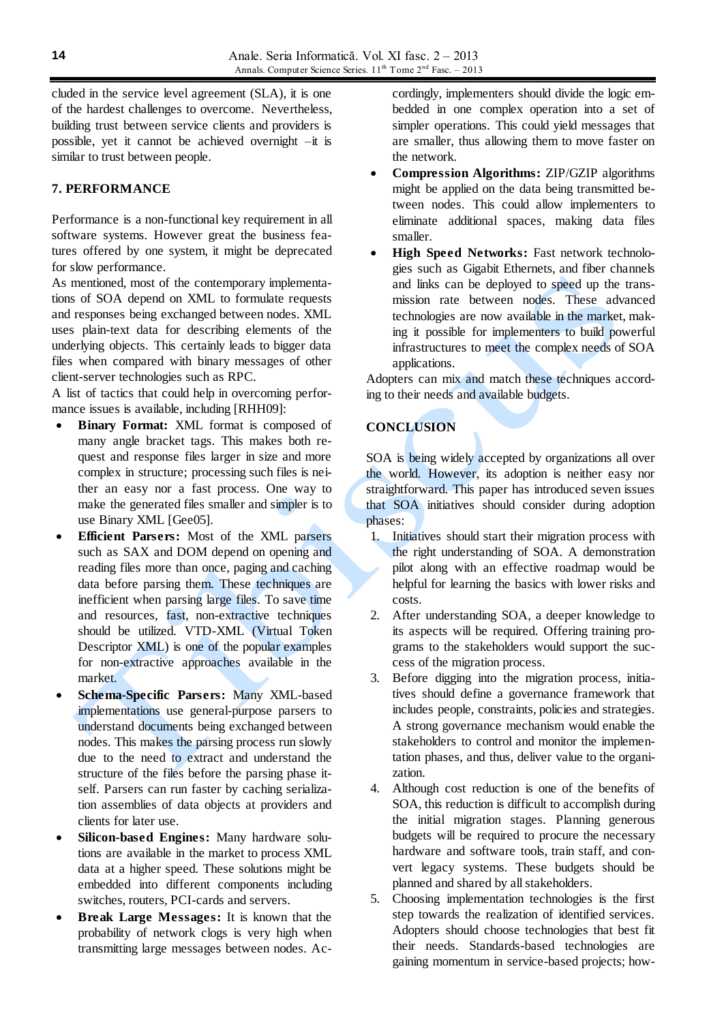cluded in the service level agreement (SLA), it is one of the hardest challenges to overcome. Nevertheless, building trust between service clients and providers is possible, yet it cannot be achieved overnight –it is similar to trust between people.

### **7. PERFORMANCE**

Performance is a non-functional key requirement in all software systems. However great the business features offered by one system, it might be deprecated for slow performance.

As mentioned, most of the contemporary implementations of SOA depend on XML to formulate requests and responses being exchanged between nodes. XML uses plain-text data for describing elements of the underlying objects. This certainly leads to bigger data files when compared with binary messages of other client-server technologies such as RPC.

A list of tactics that could help in overcoming performance issues is available, including [RHH09]:

- **Binary Format:** XML format is composed of many angle bracket tags. This makes both request and response files larger in size and more complex in structure; processing such files is neither an easy nor a fast process. One way to make the generated files smaller and simpler is to use Binary XML [Gee05].
- **Efficient Parsers:** Most of the XML parsers such as SAX and DOM depend on opening and reading files more than once, paging and caching data before parsing them. These techniques are inefficient when parsing large files. To save time and resources, fast, non-extractive techniques should be utilized. VTD-XML (Virtual Token Descriptor XML) is one of the popular examples for non-extractive approaches available in the market.
- **Schema-Specific Parsers:** Many XML-based implementations use general-purpose parsers to understand documents being exchanged between nodes. This makes the parsing process run slowly due to the need to extract and understand the structure of the files before the parsing phase itself. Parsers can run faster by caching serialization assemblies of data objects at providers and clients for later use.
- **Silicon-based Engines:** Many hardware solutions are available in the market to process XML data at a higher speed. These solutions might be embedded into different components including switches, routers, PCI-cards and servers.
- **Break Large Messages:** It is known that the probability of network clogs is very high when transmitting large messages between nodes. Ac-

cordingly, implementers should divide the logic embedded in one complex operation into a set of simpler operations. This could yield messages that are smaller, thus allowing them to move faster on the network.

- **Compression Algorithms:** ZIP/GZIP algorithms might be applied on the data being transmitted between nodes. This could allow implementers to eliminate additional spaces, making data files smaller.
- **High Speed Networks:** Fast network technologies such as Gigabit Ethernets, and fiber channels and links can be deployed to speed up the transmission rate between nodes. These advanced technologies are now available in the market, making it possible for implementers to build powerful infrastructures to meet the complex needs of SOA applications.

Adopters can mix and match these techniques according to their needs and available budgets.

## **CONCLUSION**

SOA is being widely accepted by organizations all over the world. However, its adoption is neither easy nor straightforward. This paper has introduced seven issues that SOA initiatives should consider during adoption phases:

- 1. Initiatives should start their migration process with the right understanding of SOA. A demonstration pilot along with an effective roadmap would be helpful for learning the basics with lower risks and costs.
- 2. After understanding SOA, a deeper knowledge to its aspects will be required. Offering training programs to the stakeholders would support the success of the migration process.
- 3. Before digging into the migration process, initiatives should define a governance framework that includes people, constraints, policies and strategies. A strong governance mechanism would enable the stakeholders to control and monitor the implementation phases, and thus, deliver value to the organization.
- 4. Although cost reduction is one of the benefits of SOA, this reduction is difficult to accomplish during the initial migration stages. Planning generous budgets will be required to procure the necessary hardware and software tools, train staff, and convert legacy systems. These budgets should be planned and shared by all stakeholders.
- 5. Choosing implementation technologies is the first step towards the realization of identified services. Adopters should choose technologies that best fit their needs. Standards-based technologies are gaining momentum in service-based projects; how-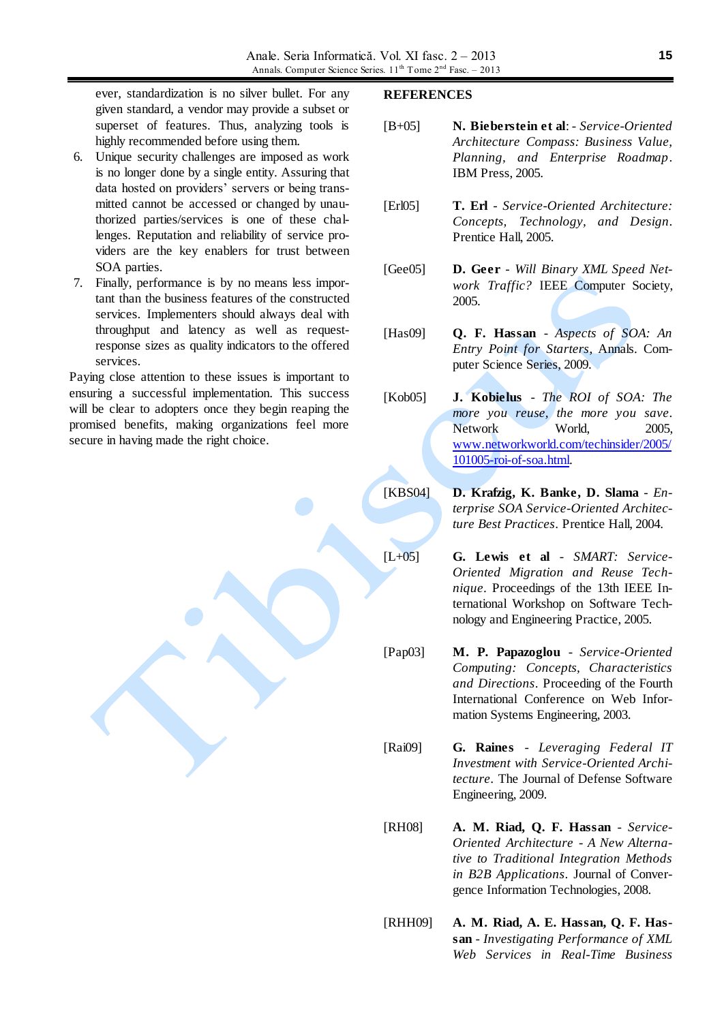ever, standardization is no silver bullet. For any given standard, a vendor may provide a subset or superset of features. Thus, analyzing tools is highly recommended before using them.

- 6. Unique security challenges are imposed as work is no longer done by a single entity. Assuring that data hosted on providers' servers or being transmitted cannot be accessed or changed by unauthorized parties/services is one of these challenges. Reputation and reliability of service providers are the key enablers for trust between SOA parties.
- 7. Finally, performance is by no means less important than the business features of the constructed services. Implementers should always deal with throughput and latency as well as requestresponse sizes as quality indicators to the offered services.

Paying close attention to these issues is important to ensuring a successful implementation. This success will be clear to adopters once they begin reaping the promised benefits, making organizations feel more secure in having made the right choice.

#### **REFERENCES**

- [B+05] **N. Bieberstein et al**: *Service-Oriented Architecture Compass: Business Value, Planning, and Enterprise Roadmap*. IBM Press, 2005.
- [Erl05] **T. Erl** *Service-Oriented Architecture: Concepts, Technology, and Design*. Prentice Hall, 2005.
- [Gee05] **D. Geer** *Will Binary XML Speed Network Traffic?* IEEE Computer Society, 2005.
- [Has09] **Q. F. Hassan** *Aspects of SOA: An Entry Point for Starters*, Annals. Computer Science Series, 2009.
- [Kob05] **J. Kobielus** *The ROI of SOA: The more you reuse, the more you save*. Network World, 2005, [www.networkworld.com/techinsider/2005/](http://www.networkworld.com/techinsider/2005/101005-roi-of-soa.html) [101005-roi-of-soa.html.](http://www.networkworld.com/techinsider/2005/101005-roi-of-soa.html)
- [KBS04] **D. Krafzig, K. Banke, D. Slama** *Enterprise SOA Service-Oriented Architecture Best Practices*. Prentice Hall, 2004.
- [L+05] **G. Lewis et al** *SMART: Service-Oriented Migration and Reuse Technique*. Proceedings of the 13th IEEE International Workshop on Software Technology and Engineering Practice, 2005.
- [Pap03] **M. P. Papazoglou** *Service-Oriented Computing: Concepts, Characteristics and Directions*. Proceeding of the Fourth International Conference on Web Information Systems Engineering, 2003.
- [Rai09] **G. Raines** *Leveraging Federal IT Investment with Service-Oriented Architecture*. The Journal of Defense Software Engineering, 2009.
- [RH08] **A. M. Riad, Q. F. Hassan** *Service-Oriented Architecture - A New Alternative to Traditional Integration Methods in B2B Applications*. Journal of Convergence Information Technologies, 2008.
- [RHH09] **A. M. Riad, A. E. Hassan, Q. F. Hassan** - *Investigating Performance of XML Web Services in Real-Time Business*